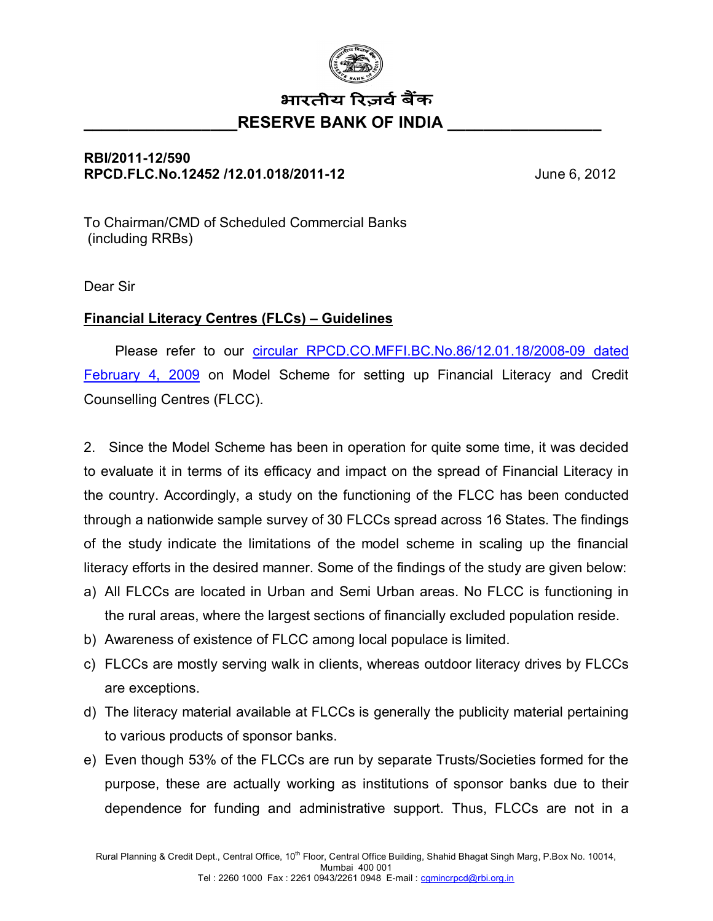

## भारतीय रिज़र्व बैंक RESERVE BANK OF INDIA

## **RBI/2011-12/590 RPCD.FLC.No.12452 /12.01.018/2011-12** June 6, 2012

To Chairman/CMD of Scheduled Commercial Banks (including RRBs)

Dear Sir

## **Financial Literacy Centres (FLCs) – Guidelines**

 Please refer to our [circular RPCD.CO.MFFI.BC.No.86/12.01.18/2008-09 dated](http://www.rbi.org.in/scripts/NotificationUser.aspx?Id=4822&Mode=0) [February 4, 2009](http://www.rbi.org.in/scripts/NotificationUser.aspx?Id=4822&Mode=0) on Model Scheme for setting up Financial Literacy and Credit Counselling Centres (FLCC).

2. Since the Model Scheme has been in operation for quite some time, it was decided to evaluate it in terms of its efficacy and impact on the spread of Financial Literacy in the country. Accordingly, a study on the functioning of the FLCC has been conducted through a nationwide sample survey of 30 FLCCs spread across 16 States. The findings of the study indicate the limitations of the model scheme in scaling up the financial literacy efforts in the desired manner. Some of the findings of the study are given below:

- a) All FLCCs are located in Urban and Semi Urban areas. No FLCC is functioning in the rural areas, where the largest sections of financially excluded population reside.
- b) Awareness of existence of FLCC among local populace is limited.
- c) FLCCs are mostly serving walk in clients, whereas outdoor literacy drives by FLCCs are exceptions.
- d) The literacy material available at FLCCs is generally the publicity material pertaining to various products of sponsor banks.
- e) Even though 53% of the FLCCs are run by separate Trusts/Societies formed for the purpose, these are actually working as institutions of sponsor banks due to their dependence for funding and administrative support. Thus, FLCCs are not in a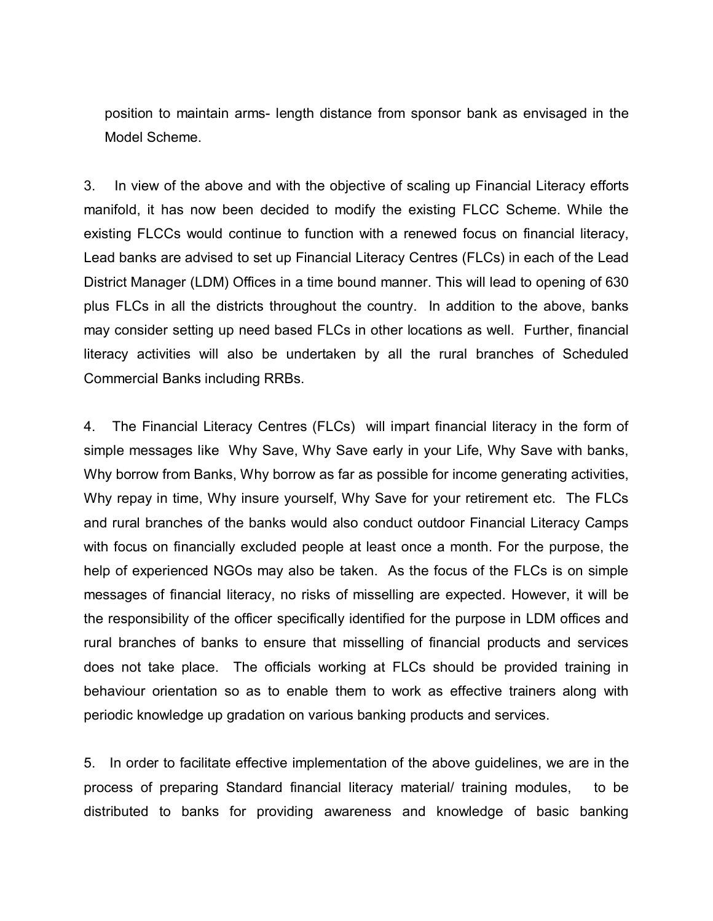position to maintain arms- length distance from sponsor bank as envisaged in the Model Scheme.

3. In view of the above and with the objective of scaling up Financial Literacy efforts manifold, it has now been decided to modify the existing FLCC Scheme. While the existing FLCCs would continue to function with a renewed focus on financial literacy, Lead banks are advised to set up Financial Literacy Centres (FLCs) in each of the Lead District Manager (LDM) Offices in a time bound manner. This will lead to opening of 630 plus FLCs in all the districts throughout the country. In addition to the above, banks may consider setting up need based FLCs in other locations as well. Further, financial literacy activities will also be undertaken by all the rural branches of Scheduled Commercial Banks including RRBs.

4. The Financial Literacy Centres (FLCs) will impart financial literacy in the form of simple messages like Why Save, Why Save early in your Life, Why Save with banks, Why borrow from Banks, Why borrow as far as possible for income generating activities, Why repay in time, Why insure yourself, Why Save for your retirement etc. The FLCs and rural branches of the banks would also conduct outdoor Financial Literacy Camps with focus on financially excluded people at least once a month. For the purpose, the help of experienced NGOs may also be taken. As the focus of the FLCs is on simple messages of financial literacy, no risks of misselling are expected. However, it will be the responsibility of the officer specifically identified for the purpose in LDM offices and rural branches of banks to ensure that misselling of financial products and services does not take place. The officials working at FLCs should be provided training in behaviour orientation so as to enable them to work as effective trainers along with periodic knowledge up gradation on various banking products and services.

5. In order to facilitate effective implementation of the above guidelines, we are in the process of preparing Standard financial literacy material/ training modules, to be distributed to banks for providing awareness and knowledge of basic banking